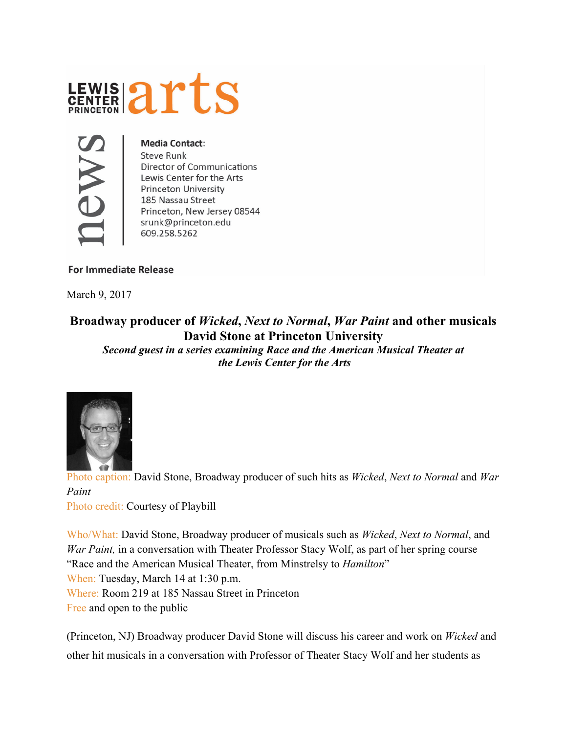## LEWIS 2rts



**Media Contact: Steve Runk Director of Communications** Lewis Center for the Arts **Princeton University** 185 Nassau Street Princeton, New Jersey 08544 srunk@princeton.edu 609.258.5262

## **For Immediate Release**

March 9, 2017

## **Broadway producer of** *Wicked***,** *Next to Normal***,** *War Paint* **and other musicals David Stone at Princeton University**

*Second guest in a series examining Race and the American Musical Theater at the Lewis Center for the Arts*



 Photo caption: David Stone, Broadway producer of such hits as *Wicked*, *Next to Normal* and *War Paint* Photo credit: Courtesy of Playbill

Who/What: David Stone, Broadway producer of musicals such as *Wicked*, *Next to Normal*, and *War Paint*, in a conversation with Theater Professor Stacy Wolf, as part of her spring course "Race and the American Musical Theater, from Minstrelsy to *Hamilton*" When: Tuesday, March 14 at 1:30 p.m. Where: Room 219 at 185 Nassau Street in Princeton Free and open to the public

(Princeton, NJ) Broadway producer David Stone will discuss his career and work on *Wicked* and other hit musicals in a conversation with Professor of Theater Stacy Wolf and her students as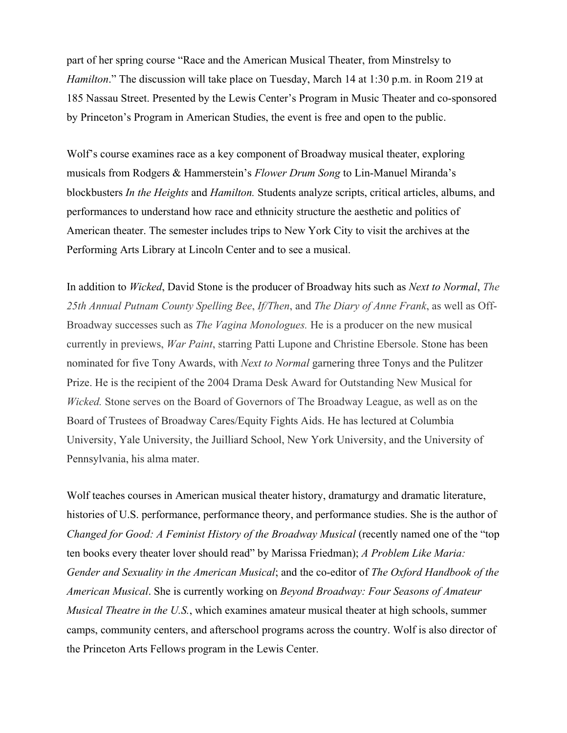part of her spring course "Race and the American Musical Theater, from Minstrelsy to *Hamilton*." The discussion will take place on Tuesday, March 14 at 1:30 p.m. in Room 219 at 185 Nassau Street. Presented by the Lewis Center's Program in Music Theater and co-sponsored by Princeton's Program in American Studies, the event is free and open to the public.

Wolf's course examines race as a key component of Broadway musical theater, exploring musicals from Rodgers & Hammerstein's *Flower Drum Song* to Lin-Manuel Miranda's blockbusters *In the Heights* and *Hamilton.* Students analyze scripts, critical articles, albums, and performances to understand how race and ethnicity structure the aesthetic and politics of American theater. The semester includes trips to New York City to visit the archives at the Performing Arts Library at Lincoln Center and to see a musical.

In addition to *Wicked*, David Stone is the producer of Broadway hits such as *Next to Normal*, *The 25th Annual Putnam County Spelling Bee*, *If/Then*, and *The Diary of Anne Frank*, as well as Off-Broadway successes such as *The Vagina Monologues.* He is a producer on the new musical currently in previews, *War Paint*, starring Patti Lupone and Christine Ebersole. Stone has been nominated for five Tony Awards, with *Next to Normal* garnering three Tonys and the Pulitzer Prize. He is the recipient of the 2004 Drama Desk Award for Outstanding New Musical for *Wicked.* Stone serves on the Board of Governors of The Broadway League, as well as on the Board of Trustees of Broadway Cares/Equity Fights Aids. He has lectured at Columbia University, Yale University, the Juilliard School, New York University, and the University of Pennsylvania, his alma mater.

Wolf teaches courses in American musical theater history, dramaturgy and dramatic literature, histories of U.S. performance, performance theory, and performance studies. She is the author of *Changed for Good: A Feminist History of the Broadway Musical* (recently named one of the "top ten books every theater lover should read" by Marissa Friedman); *A Problem Like Maria: Gender and Sexuality in the American Musical*; and the co-editor of *The Oxford Handbook of the American Musical*. She is currently working on *Beyond Broadway: Four Seasons of Amateur Musical Theatre in the U.S.*, which examines amateur musical theater at high schools, summer camps, community centers, and afterschool programs across the country. Wolf is also director of the Princeton Arts Fellows program in the Lewis Center.